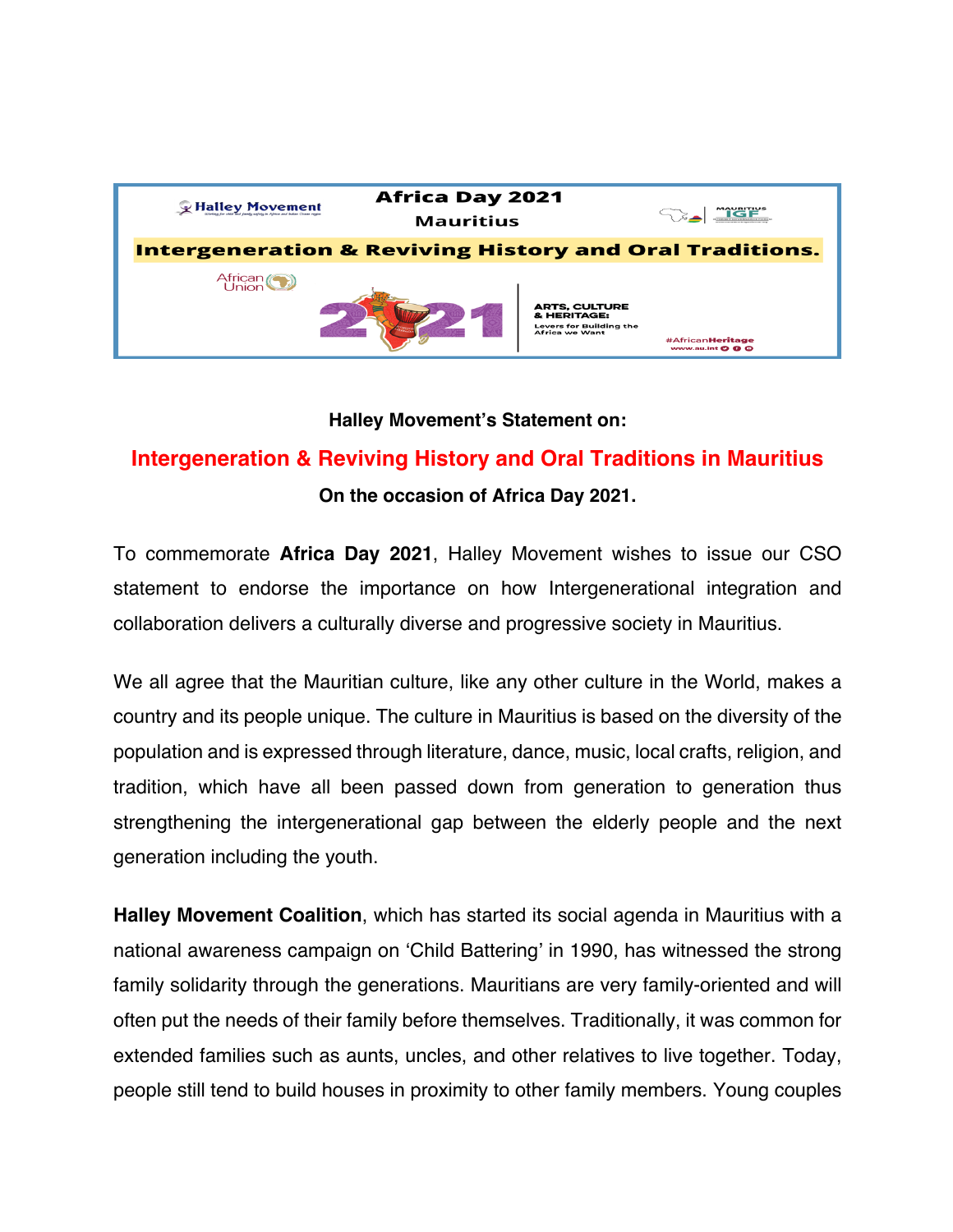

## **Halley Movement's Statement on:**

## **Intergeneration & Reviving History and Oral Traditions in Mauritius**

**On the occasion of Africa Day 2021.**

To commemorate **Africa Day 2021**, Halley Movement wishes to issue our CSO statement to endorse the importance on how Intergenerational integration and collaboration delivers a culturally diverse and progressive society in Mauritius.

We all agree that the Mauritian culture, like any other culture in the World, makes a country and its people unique. The culture in Mauritius is based on the diversity of the population and is expressed through literature, dance, music, local crafts, religion, and tradition, which have all been passed down from generation to generation thus strengthening the intergenerational gap between the elderly people and the next generation including the youth.

**Halley Movement Coalition**, which has started its social agenda in Mauritius with a national awareness campaign on 'Child Battering' in 1990, has witnessed the strong family solidarity through the generations. Mauritians are very family-oriented and will often put the needs of their family before themselves. Traditionally, it was common for extended families such as aunts, uncles, and other relatives to live together. Today, people still tend to build houses in proximity to other family members. Young couples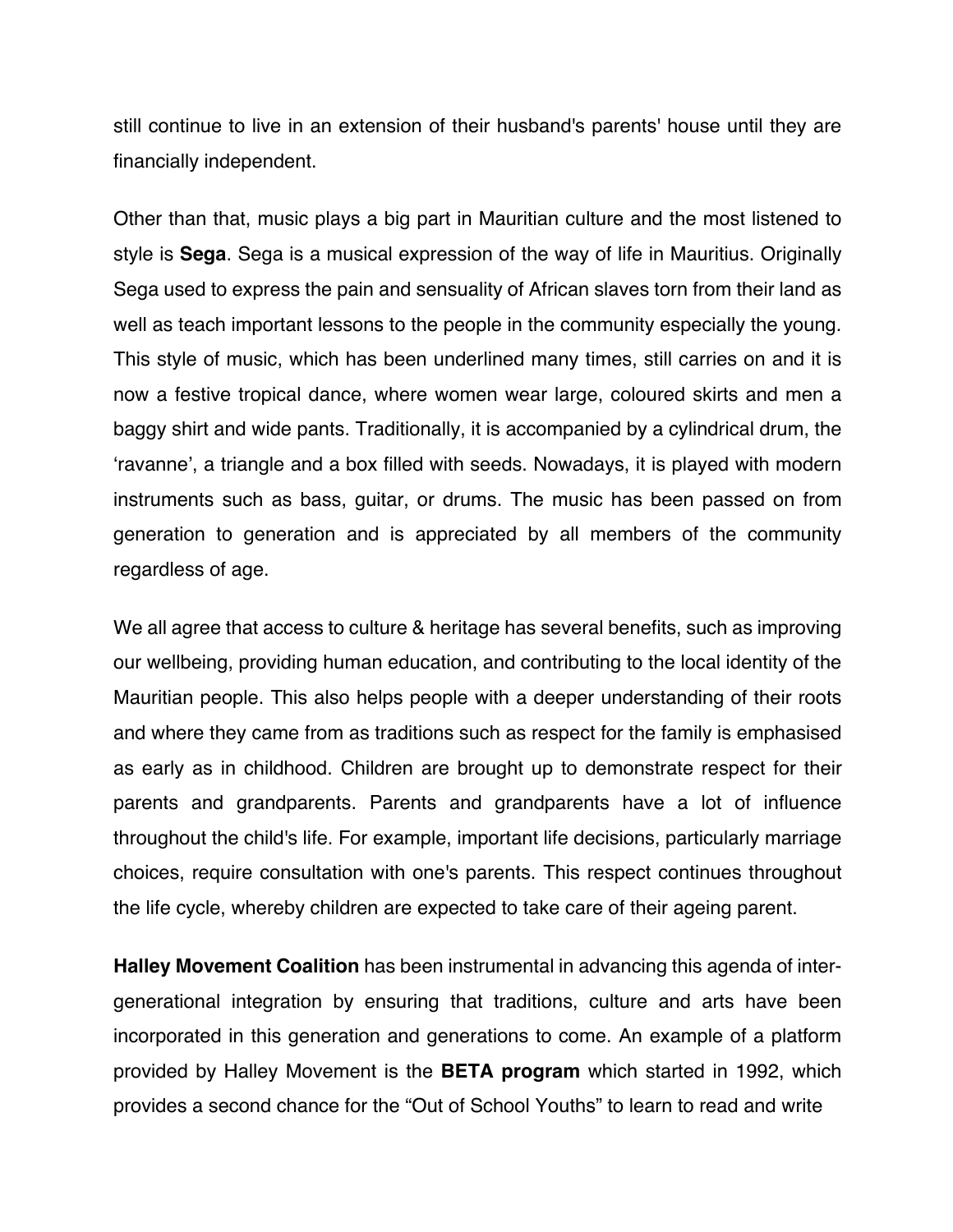still continue to live in an extension of their husband's parents' house until they are financially independent.

Other than that, music plays a big part in Mauritian culture and the most listened to style is **Sega**. Sega is a musical expression of the way of life in Mauritius. Originally Sega used to express the pain and sensuality of African slaves torn from their land as well as teach important lessons to the people in the community especially the young. This style of music, which has been underlined many times, still carries on and it is now a festive tropical dance, where women wear large, coloured skirts and men a baggy shirt and wide pants. Traditionally, it is accompanied by a cylindrical drum, the 'ravanne', a triangle and a box filled with seeds. Nowadays, it is played with modern instruments such as bass, guitar, or drums. The music has been passed on from generation to generation and is appreciated by all members of the community regardless of age.

We all agree that access to culture & heritage has several benefits, such as improving our wellbeing, providing human education, and contributing to the local identity of the Mauritian people. This also helps people with a deeper understanding of their roots and where they came from as traditions such as respect for the family is emphasised as early as in childhood. Children are brought up to demonstrate respect for their parents and grandparents. Parents and grandparents have a lot of influence throughout the child's life. For example, important life decisions, particularly marriage choices, require consultation with one's parents. This respect continues throughout the life cycle, whereby children are expected to take care of their ageing parent.

**Halley Movement Coalition** has been instrumental in advancing this agenda of intergenerational integration by ensuring that traditions, culture and arts have been incorporated in this generation and generations to come. An example of a platform provided by Halley Movement is the **BETA program** which started in 1992, which provides a second chance for the "Out of School Youths" to learn to read and write